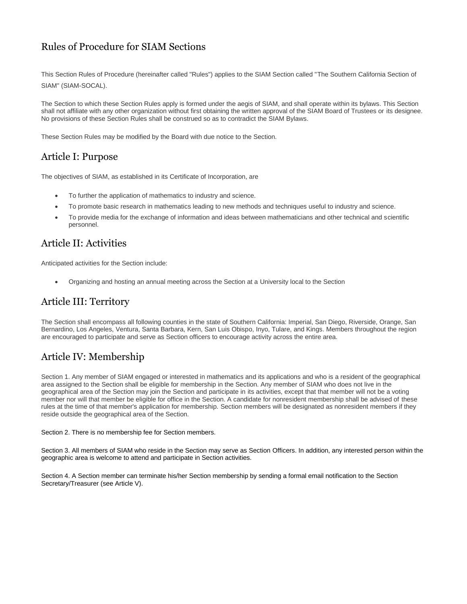# Rules of Procedure for SIAM Sections

This Section Rules of Procedure (hereinafter called "Rules") applies to the SIAM Section called "The Southern California Section of SIAM" (SIAM-SOCAL).

The Section to which these Section Rules apply is formed under the aegis of SIAM, and shall operate within its bylaws. This Section shall not affiliate with any other organization without first obtaining the written approval of the SIAM Board of Trustees or its designee. No provisions of these Section Rules shall be construed so as to contradict the SIAM Bylaws.

These Section Rules may be modified by the Board with due notice to the Section.

# Article I: Purpose

The objectives of SIAM, as established in its Certificate of Incorporation, are

- To further the application of mathematics to industry and science.
- To promote basic research in mathematics leading to new methods and techniques useful to industry and science.
- To provide media for the exchange of information and ideas between mathematicians and other technical and scientific personnel.

## Article II: Activities

Anticipated activities for the Section include:

Organizing and hosting an annual meeting across the Section at a University local to the Section

#### Article III: Territory

The Section shall encompass all following counties in the state of Southern California: Imperial, San Diego, Riverside, Orange, San Bernardino, Los Angeles, Ventura, Santa Barbara, Kern, San Luis Obispo, Inyo, Tulare, and Kings. Members throughout the region are encouraged to participate and serve as Section officers to encourage activity across the entire area.

# Article IV: Membership

Section 1. Any member of SIAM engaged or interested in mathematics and its applications and who is a resident of the geographical area assigned to the Section shall be eligible for membership in the Section. Any member of SIAM who does not live in the geographical area of the Section may join the Section and participate in its activities, except that that member will not be a voting member nor will that member be eligible for office in the Section. A candidate for nonresident membership shall be advised of these rules at the time of that member's application for membership. Section members will be designated as nonresident members if they reside outside the geographical area of the Section.

Section 2. There is no membership fee for Section members.

Section 3. All members of SIAM who reside in the Section may serve as Section Officers. In addition, any interested person within the geographic area is welcome to attend and participate in Section activities.

Section 4. A Section member can terminate his/her Section membership by sending a formal email notification to the Section Secretary/Treasurer (see Article V).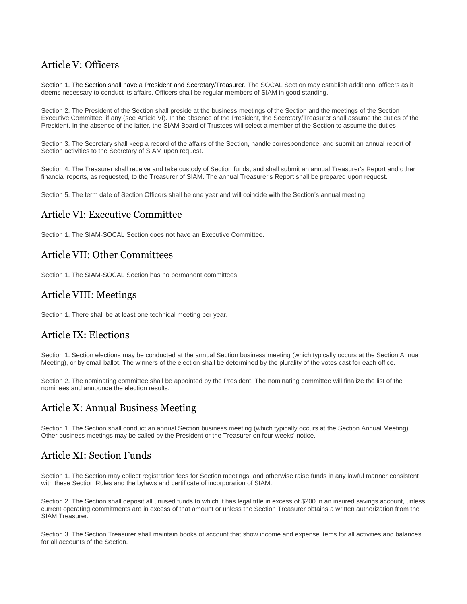# Article V: Officers

Section 1. The Section shall have a President and Secretary/Treasurer. The SOCAL Section may establish additional officers as it deems necessary to conduct its affairs. Officers shall be regular members of SIAM in good standing.

Section 2. The President of the Section shall preside at the business meetings of the Section and the meetings of the Section Executive Committee, if any (see Article VI). In the absence of the President, the Secretary/Treasurer shall assume the duties of the President. In the absence of the latter, the SIAM Board of Trustees will select a member of the Section to assume the duties.

Section 3. The Secretary shall keep a record of the affairs of the Section, handle correspondence, and submit an annual report of Section activities to the Secretary of SIAM upon request.

Section 4. The Treasurer shall receive and take custody of Section funds, and shall submit an annual Treasurer's Report and other financial reports, as requested, to the Treasurer of SIAM. The annual Treasurer's Report shall be prepared upon request.

Section 5. The term date of Section Officers shall be one year and will coincide with the Section's annual meeting.

#### Article VI: Executive Committee

Section 1. The SIAM-SOCAL Section does not have an Executive Committee.

#### Article VII: Other Committees

Section 1. The SIAM-SOCAL Section has no permanent committees.

#### Article VIII: Meetings

Section 1. There shall be at least one technical meeting per year.

#### Article IX: Elections

Section 1. Section elections may be conducted at the annual Section business meeting (which typically occurs at the Section Annual Meeting), or by email ballot. The winners of the election shall be determined by the plurality of the votes cast for each office.

Section 2. The nominating committee shall be appointed by the President. The nominating committee will finalize the list of the nominees and announce the election results.

## Article X: Annual Business Meeting

Section 1. The Section shall conduct an annual Section business meeting (which typically occurs at the Section Annual Meeting). Other business meetings may be called by the President or the Treasurer on four weeks' notice.

#### Article XI: Section Funds

Section 1. The Section may collect registration fees for Section meetings, and otherwise raise funds in any lawful manner consistent with these Section Rules and the bylaws and certificate of incorporation of SIAM.

Section 2. The Section shall deposit all unused funds to which it has legal title in excess of \$200 in an insured savings account, unless current operating commitments are in excess of that amount or unless the Section Treasurer obtains a written authorization from the SIAM Treasurer.

Section 3. The Section Treasurer shall maintain books of account that show income and expense items for all activities and balances for all accounts of the Section.